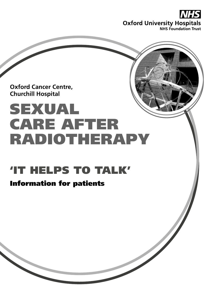

**Oxford Cancer Centre, Churchill Hospital**

# SEXUAL CARE AFTER RADIOTHERAPY

## 'IT HELPS TO TALK'

### Information for patients